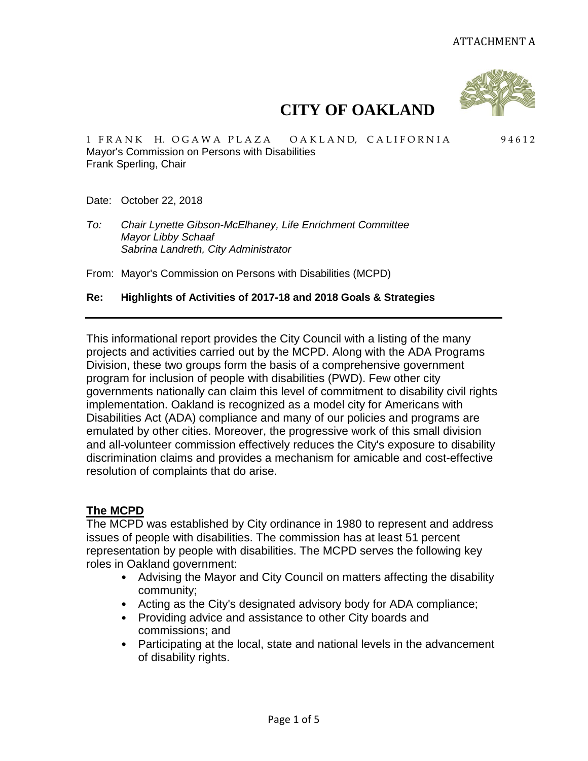

# **CITY OF OAKLAND**

1 FRANK H. OGAWA PLAZA - OAKLAND. CALIFORNIA - 94612 Mayor's Commission on Persons with Disabilities Frank Sperling, Chair

Date: October 22, 2018

*To: Chair Lynette Gibson-McElhaney, Life Enrichment Committee Mayor Libby Schaaf Sabrina Landreth, City Administrator*

From: Mayor's Commission on Persons with Disabilities (MCPD)

### **Re: Highlights of Activities of 2017-18 and 2018 Goals & Strategies**

This informational report provides the City Council with a listing of the many projects and activities carried out by the MCPD. Along with the ADA Programs Division, these two groups form the basis of a comprehensive government program for inclusion of people with disabilities (PWD). Few other city governments nationally can claim this level of commitment to disability civil rights implementation. Oakland is recognized as a model city for Americans with Disabilities Act (ADA) compliance and many of our policies and programs are emulated by other cities. Moreover, the progressive work of this small division and all-volunteer commission effectively reduces the City's exposure to disability discrimination claims and provides a mechanism for amicable and cost-effective resolution of complaints that do arise.

## **The MCPD**

The MCPD was established by City ordinance in 1980 to represent and address issues of people with disabilities. The commission has at least 51 percent representation by people with disabilities. The MCPD serves the following key roles in Oakland government:

- Advising the Mayor and City Council on matters affecting the disability community;
- Acting as the City's designated advisory body for ADA compliance;
- Providing advice and assistance to other City boards and commissions; and
- Participating at the local, state and national levels in the advancement of disability rights.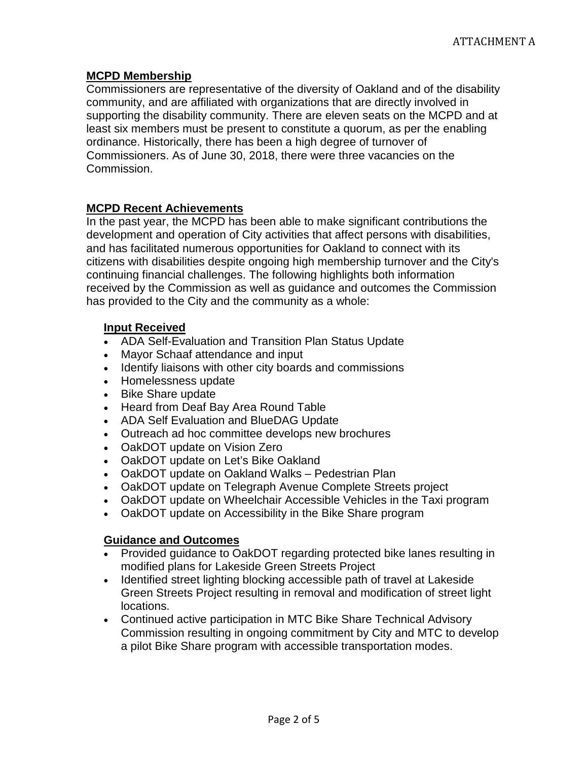## **MCPD Membership**

Commissioners are representative of the diversity of Oakland and of the disability community, and are affiliated with organizations that are directly involved in supporting the disability community. There are eleven seats on the MCPD and at least six members must be present to constitute a quorum, as per the enabling ordinance. Historically, there has been a high degree of turnover of Commissioners. As of June 30, 2018, there were three vacancies on the Commission.

### **MCPD Recent Achievements**

In the past year, the MCPD has been able to make significant contributions the development and operation of City activities that affect persons with disabilities, and has facilitated numerous opportunities for Oakland to connect with its citizens with disabilities despite ongoing high membership turnover and the City's continuing financial challenges. The following highlights both information received by the Commission as well as guidance and outcomes the Commission has provided to the City and the community as a whole:

## **Input Received**

- ADA Self-Evaluation and Transition Plan Status Update
- Mayor Schaaf attendance and input
- Identify liaisons with other city boards and commissions
- Homelessness update
- Bike Share update
- Heard from Deaf Bay Area Round Table
- ADA Self Evaluation and BlueDAG Update
- Outreach ad hoc committee develops new brochures
- OakDOT update on Vision Zero
- OakDOT update on Let's Bike Oakland
- OakDOT update on Oakland Walks Pedestrian Plan
- OakDOT update on Telegraph Avenue Complete Streets project
- OakDOT update on Wheelchair Accessible Vehicles in the Taxi program
- OakDOT update on Accessibility in the Bike Share program

### **Guidance and Outcomes**

- Provided guidance to OakDOT regarding protected bike lanes resulting in modified plans for Lakeside Green Streets Project
- Identified street lighting blocking accessible path of travel at Lakeside Green Streets Project resulting in removal and modification of street light locations.
- Continued active participation in MTC Bike Share Technical Advisory Commission resulting in ongoing commitment by City and MTC to develop a pilot Bike Share program with accessible transportation modes.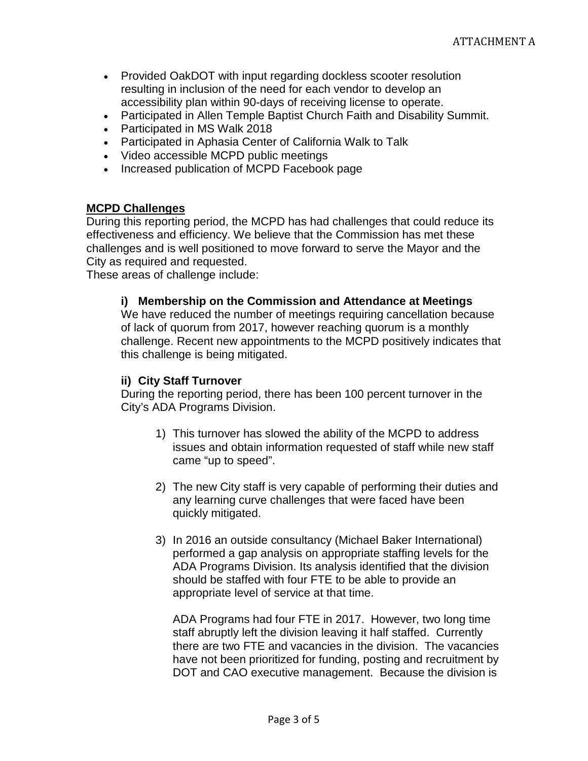- Provided OakDOT with input regarding dockless scooter resolution resulting in inclusion of the need for each vendor to develop an accessibility plan within 90-days of receiving license to operate.
- Participated in Allen Temple Baptist Church Faith and Disability Summit.
- Participated in MS Walk 2018
- Participated in Aphasia Center of California Walk to Talk
- Video accessible MCPD public meetings
- Increased publication of MCPD Facebook page

## **MCPD Challenges**

During this reporting period, the MCPD has had challenges that could reduce its effectiveness and efficiency. We believe that the Commission has met these challenges and is well positioned to move forward to serve the Mayor and the City as required and requested.

These areas of challenge include:

### **i) Membership on the Commission and Attendance at Meetings**

We have reduced the number of meetings requiring cancellation because of lack of quorum from 2017, however reaching quorum is a monthly challenge. Recent new appointments to the MCPD positively indicates that this challenge is being mitigated.

### **ii) City Staff Turnover**

During the reporting period, there has been 100 percent turnover in the City's ADA Programs Division.

- 1) This turnover has slowed the ability of the MCPD to address issues and obtain information requested of staff while new staff came "up to speed".
- 2) The new City staff is very capable of performing their duties and any learning curve challenges that were faced have been quickly mitigated.
- 3) In 2016 an outside consultancy (Michael Baker International) performed a gap analysis on appropriate staffing levels for the ADA Programs Division. Its analysis identified that the division should be staffed with four FTE to be able to provide an appropriate level of service at that time.

ADA Programs had four FTE in 2017. However, two long time staff abruptly left the division leaving it half staffed. Currently there are two FTE and vacancies in the division. The vacancies have not been prioritized for funding, posting and recruitment by DOT and CAO executive management. Because the division is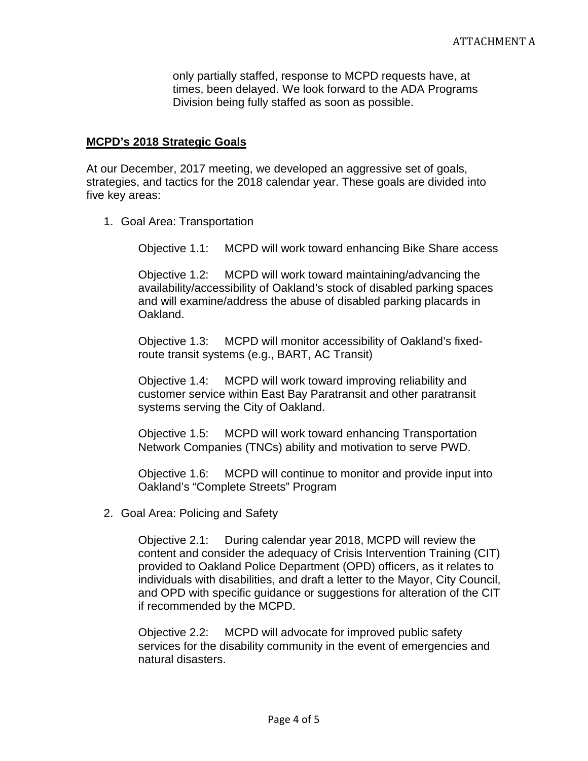only partially staffed, response to MCPD requests have, at times, been delayed. We look forward to the ADA Programs Division being fully staffed as soon as possible.

#### **MCPD's 2018 Strategic Goals**

At our December, 2017 meeting, we developed an aggressive set of goals, strategies, and tactics for the 2018 calendar year. These goals are divided into five key areas:

1. Goal Area: Transportation

Objective 1.1: MCPD will work toward enhancing Bike Share access

Objective 1.2: MCPD will work toward maintaining/advancing the availability/accessibility of Oakland's stock of disabled parking spaces and will examine/address the abuse of disabled parking placards in Oakland.

Objective 1.3: MCPD will monitor accessibility of Oakland's fixedroute transit systems (e.g., BART, AC Transit)

Objective 1.4: MCPD will work toward improving reliability and customer service within East Bay Paratransit and other paratransit systems serving the City of Oakland.

Objective 1.5: MCPD will work toward enhancing Transportation Network Companies (TNCs) ability and motivation to serve PWD.

Objective 1.6: MCPD will continue to monitor and provide input into Oakland's "Complete Streets" Program

2. Goal Area: Policing and Safety

Objective 2.1: During calendar year 2018, MCPD will review the content and consider the adequacy of Crisis Intervention Training (CIT) provided to Oakland Police Department (OPD) officers, as it relates to individuals with disabilities, and draft a letter to the Mayor, City Council, and OPD with specific guidance or suggestions for alteration of the CIT if recommended by the MCPD.

Objective 2.2: MCPD will advocate for improved public safety services for the disability community in the event of emergencies and natural disasters.